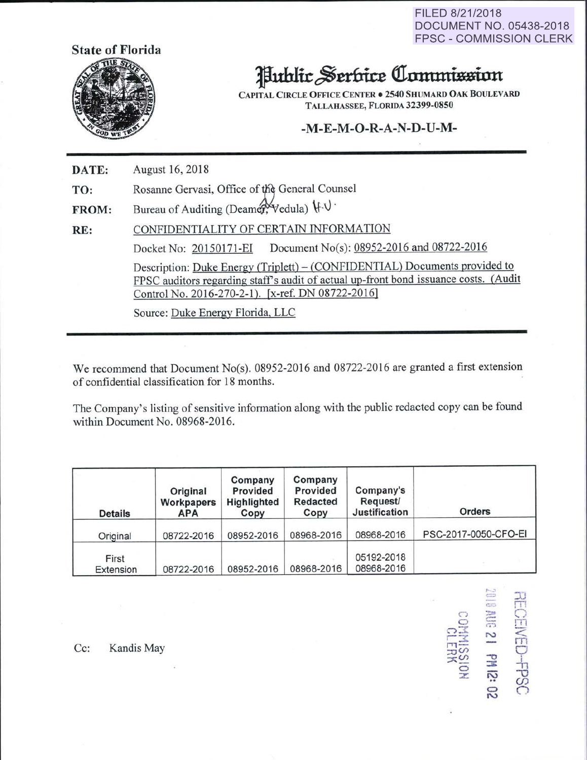FILED 8/21/2018 DOCUMENT NO. 05438-2018 FPSC - COMMISSION CLERK



## Public Serbice Commission

CAPITAL CIRCLE OFFICE CENTER . 2540 SHUMARD OAK BOULEVARD TALLAHASSEE, FLORIDA 32399-0850

## $-M-E-M-O-R-A-N-D-U-M-$ -~- -<>-Jt-}\- -I>- 11-lYI-

DATE: August 16,2018

TO: Rosanne Gervasi, Office of the General Counsel

FROM: Bureau of Auditing (Deamer, Vedula)  $\mathcal{H} \cdot \mathcal{V}$ 

RE: CONFIDENTIALITY OF CERTAIN INFORMATION Docket No: 20150171-EI Document No(s): 08952-2016 and 08722-2016 Description: Duke Energy (Triplett)- (CONFIDENTIAL) Documents provided to FPSC auditors regarding staff's audit of actual up-front bond issuance costs. (Audit Control No. 2016-270-2-1). [x-ref. DN 08722-20161

Source: Duke Energy Florida, LLC

We recommend that Document No(s). 08952-2016 and 08722-2016 are granted a first extension of confidential classification for 18 months.

The Company's listing of sensitive information along with the public redacted copy can be found within Document No. 08968-2016.

| <b>Details</b>     | Original<br>Workpapers<br><b>APA</b> | Company<br>Provided<br>Highlighted<br>Copy | Company<br>Provided<br><b>Redacted</b><br>Copy | Company's<br><b>Request/</b><br>Justification | <b>Orders</b>        |
|--------------------|--------------------------------------|--------------------------------------------|------------------------------------------------|-----------------------------------------------|----------------------|
| Original           | 08722-2016                           | 08952-2016                                 | 08968-2016                                     | 08968-2016                                    | PSC-2017-0050-CFO-EI |
| First<br>Extension | 08722-2016                           | 08952-2016                                 | 08968-2016                                     | 05192-2018<br>08968-2016                      |                      |

,. CHEC<br>THE<br>CHEC<br>C  $\Xi$  -  $\Xi$  $\overline{\mathbb{D}}$  .  $\overline{\mathbb{D}}$ NED<br>13: MHZ<br>13: MHZ<br>15: 2  $\infty$  -o  $\overline{\circ}$   $\overline{\mathbb{B}}$   $\overline{\mathbb{B}}$  $\vec{z}$   $\vec{\omega}$   $\vec{\omega}$  $\mathbb S$   $\circ$ 

 $\subset$ 

1

Cc: Kandis May